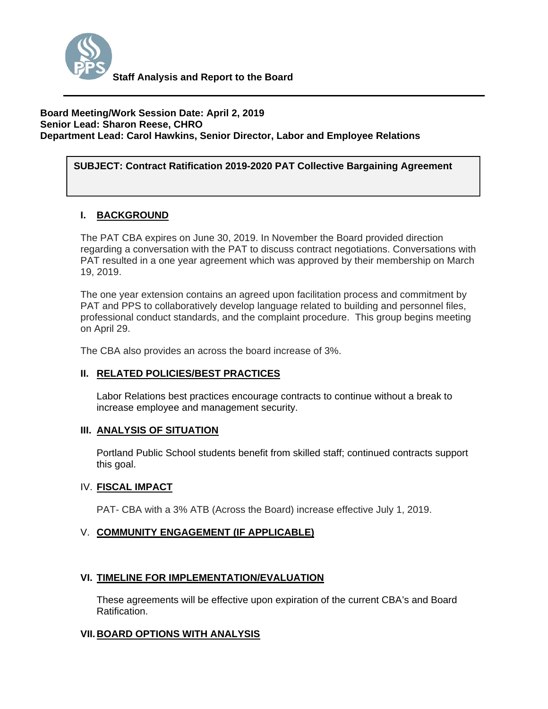

#### **Board Meeting/Work Session Date: April 2, 2019 Senior Lead: Sharon Reese, CHRO Department Lead: Carol Hawkins, Senior Director, Labor and Employee Relations**

# SUBJECT: Contract Ratification 2019-2020 PAT Collective Bargaining Agreement

## **I. BACKGROUND**

The PAT CBA expires on June 30, 2019. In November the Board provided direction regarding a conversation with the PAT to discuss contract negotiations. Conversations with PAT resulted in a one year agreement which was approved by their membership on March 19, 2019.

The one year extension contains an agreed upon facilitation process and commitment by PAT and PPS to collaboratively develop language related to building and personnel files, professional conduct standards, and the complaint procedure. This group begins meeting on April 29.

The CBA also provides an across the board increase of 3%.

## **II. RELATED POLICIES/BEST PRACTICES**

Labor Relations best practices encourage contracts to continue without a break to increase employee and management security.

## **III. ANALYSIS OF SITUATION**

Portland Public School students benefit from skilled staff; continued contracts support this goal.

## IV. **FISCAL IMPACT**

PAT- CBA with a 3% ATB (Across the Board) increase effective July 1, 2019.

## V. **COMMUNITY ENGAGEMENT (IF APPLICABLE)**

## **VI. TIMELINE FOR IMPLEMENTATION/EVALUATION**

These agreements will be effective upon expiration of the current CBA's and Board Ratification.

## **VII. BOARD OPTIONS WITH ANALYSIS**